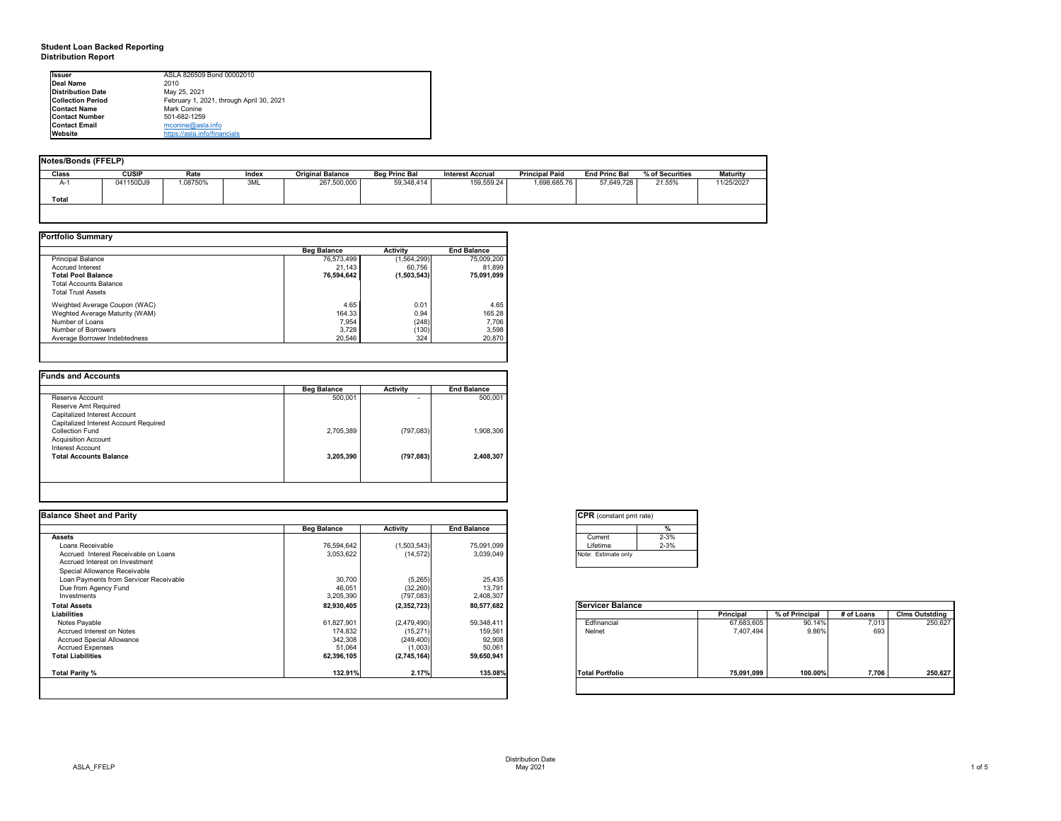# **Student Loan Backed Reporting Distribution Report**

## **Notes/Bonds (FFELP)**

| Notes/Bonds (FFELP) |              |         |       |                         |                      |                         |                       |                      |                 |                 |
|---------------------|--------------|---------|-------|-------------------------|----------------------|-------------------------|-----------------------|----------------------|-----------------|-----------------|
| <b>Class</b>        | <b>CUSIP</b> | Rate    | Index | <b>Original Balance</b> | <b>Beg Princ Bal</b> | <b>Interest Accrual</b> | <b>Principal Paid</b> | <b>End Princ Bal</b> | % of Securities | <b>Maturity</b> |
| $A-1$               | 041150DJ9    | .08750% | 3ML   | 267,500,000             | 59,348,414           | 159,559.24              | 1,698,685.76          | 57,649,728           | 21.55%          | 11/25/2027      |
|                     |              |         |       |                         |                      |                         |                       |                      |                 |                 |
| Total               |              |         |       |                         |                      |                         |                       |                      |                 |                 |
|                     |              |         |       |                         |                      |                         |                       |                      |                 |                 |

|                                | <b>Beg Balance</b> | <b>Activity</b> | <b>End Balance</b> |
|--------------------------------|--------------------|-----------------|--------------------|
| <b>Principal Balance</b>       | 76,573,499         | (1,564,299)     | 75,009,200         |
| <b>Accrued Interest</b>        | 21,143             | 60,756          | 81,899             |
| <b>Total Pool Balance</b>      | 76,594,642         | (1,503,543)     | 75,091,099         |
| <b>Total Accounts Balance</b>  |                    |                 |                    |
| <b>Total Trust Assets</b>      |                    |                 |                    |
| Weighted Average Coupon (WAC)  | 4.65               | 0.01            | 4.65               |
| Weghted Average Maturity (WAM) | 164.33             | 0.94            | 165.28             |
| Number of Loans                | 7,954              | (248)           | 7,706              |
| Number of Borrowers            | 3,728              | (130)           | 3,598              |
| Average Borrower Indebtedness  | 20,546             | 324             | 20,870             |

|                                       | <b>Beg Balance</b> | <b>Activity</b> | <b>End Balance</b> |
|---------------------------------------|--------------------|-----------------|--------------------|
| Reserve Account                       | 500,001            |                 | 500,001            |
| Reserve Amt Required                  |                    |                 |                    |
| <b>Capitalized Interest Account</b>   |                    |                 |                    |
| Capitalized Interest Account Required |                    |                 |                    |
| <b>Collection Fund</b>                | 2,705,389          | (797, 083)      | 1,908,306          |
| <b>Acquisition Account</b>            |                    |                 |                    |
| Interest Account                      |                    |                 |                    |
| <b>Total Accounts Balance</b>         | 3,205,390          | (797, 083)      | 2,408,307          |
|                                       |                    |                 |                    |
|                                       |                    |                 |                    |

| <b>Issuer</b>            | ASLA 826509 Bond 00002010                |
|--------------------------|------------------------------------------|
| Deal Name                | 2010                                     |
| <b>Distribution Date</b> | May 25, 2021                             |
| <b>Collection Period</b> | February 1, 2021, through April 30, 2021 |
| <b>Contact Name</b>      | Mark Conine                              |
| <b>Contact Number</b>    | 501-682-1259                             |
| <b>Contact Email</b>     | mcoine@asla.info                         |
| <b>Website</b>           | https://asla.info/financials             |

|                    |                               |                                                                                         | <b>CPR</b> (constant pmt rate)                                             |            |                                |            |                       |
|--------------------|-------------------------------|-----------------------------------------------------------------------------------------|----------------------------------------------------------------------------|------------|--------------------------------|------------|-----------------------|
| <b>Beg Balance</b> | <b>Activity</b>               | <b>End Balance</b>                                                                      |                                                                            |            |                                |            |                       |
|                    |                               |                                                                                         | $2 - 3%$<br>Current                                                        |            |                                |            |                       |
| 76,594,642         | (1,503,543)                   | 75,091,099                                                                              | $2 - 3%$<br>Lifetime                                                       |            |                                |            |                       |
| 3,053,622          | (14, 572)                     | 3,039,049                                                                               | Note: Estimate only                                                        |            |                                |            |                       |
|                    |                               |                                                                                         |                                                                            |            |                                |            |                       |
|                    |                               |                                                                                         |                                                                            |            |                                |            |                       |
|                    |                               |                                                                                         |                                                                            |            |                                |            |                       |
|                    |                               |                                                                                         |                                                                            |            |                                |            |                       |
|                    |                               |                                                                                         |                                                                            |            |                                |            |                       |
| 82,930,405         |                               |                                                                                         | <b>Servicer Balance</b>                                                    |            |                                |            |                       |
|                    |                               |                                                                                         |                                                                            |            | % of Principal                 | # of Loans | <b>Clms Outstding</b> |
| 61,827,901         |                               | 59,348,411                                                                              | Edfinancial                                                                |            | 90.14%                         | 7,013      | 250,627               |
| 174,832            |                               |                                                                                         | Nelnet                                                                     | 7,407,494  | 9.86%                          | 693        |                       |
| 342,308            | (249, 400)                    |                                                                                         |                                                                            |            |                                |            |                       |
| 51,064             |                               |                                                                                         |                                                                            |            |                                |            |                       |
| 62,396,105         | (2,745,164)                   | 59,650,941                                                                              |                                                                            |            |                                |            |                       |
| 132.91%            | 2.17%                         | 135.08%                                                                                 | <b>Total Portfolio</b>                                                     | 75,091,099 | 100.00%                        | 7,706      | 250,627               |
|                    | 30,700<br>46,051<br>3,205,390 | (5,265)<br>(32, 260)<br>(797,083)<br>(2,352,723)<br>(2,479,490)<br>(15, 271)<br>(1,003) | 25,435<br>13,791<br>2,408,307<br>80,577,682<br>159,561<br>92,908<br>50,061 |            | <b>Principal</b><br>67,683,605 |            |                       |

|  | Servic  |  |
|--|---------|--|
|  |         |  |
|  | Edfin   |  |
|  | Nelne   |  |
|  |         |  |
|  |         |  |
|  |         |  |
|  |         |  |
|  |         |  |
|  | Total P |  |
|  |         |  |
|  |         |  |

| onstant pmt rate) |          |  |  |  |  |  |  |
|-------------------|----------|--|--|--|--|--|--|
|                   | %        |  |  |  |  |  |  |
| nt.               | $2 - 3%$ |  |  |  |  |  |  |
| me                | $2 - 3%$ |  |  |  |  |  |  |
| timate only       |          |  |  |  |  |  |  |

|          | <b>Principal</b> | % of Principal | # of Loans | <b>Clms Outstding</b> |
|----------|------------------|----------------|------------|-----------------------|
| ancial   | 67,683,605       | 90.14%         | 7,013      | 250,627               |
|          | 7,407,494        | 9.86%          | 693        |                       |
|          |                  |                |            |                       |
|          |                  |                |            |                       |
|          |                  |                |            |                       |
|          |                  |                |            |                       |
| ortfolio | 75,091,099       | 100.00%        | 7,706      | 250,627               |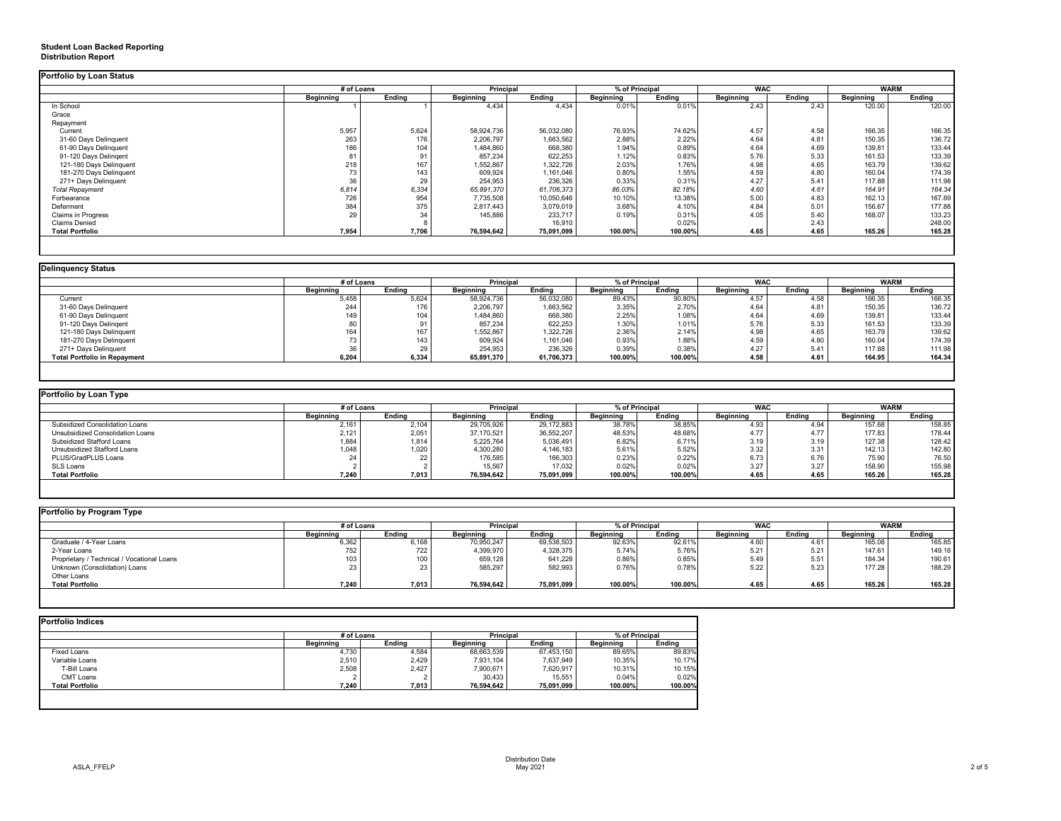# **Student Loan Backed Reporting Distribution Report**

|                           | # of Loans       |               | <b>Principal</b> |               | % of Principal   |               | <b>WAC</b>        |               | <b>WARM</b>      |        |
|---------------------------|------------------|---------------|------------------|---------------|------------------|---------------|-------------------|---------------|------------------|--------|
|                           | <b>Beginning</b> | <b>Ending</b> | <b>Beginning</b> | <b>Ending</b> | <b>Beginning</b> | <b>Ending</b> | <b>Beginning</b>  | <b>Ending</b> | <b>Beginning</b> | Ending |
| In School                 |                  |               | 4,434            | 4,434         | 0.01%            | 0.01%         | $2.\overline{43}$ | 2.43          | 120.00           | 120.00 |
| Grace                     |                  |               |                  |               |                  |               |                   |               |                  |        |
| Repayment                 |                  |               |                  |               |                  |               |                   |               |                  |        |
| Current                   | 5,957            | 5,624         | 58,924,736       | 56,032,080    | 76.93%           | 74.62%        | 4.57              | 4.58          | 166.35           | 166.35 |
| 31-60 Days Delinquent     | 263              | 176           | 2,206,797        | 1,663,562     | 2.88%            | 2.22%         | 4.64              | $4.8^{\circ}$ | 150.35           | 136.72 |
| 61-90 Days Delinquent     | 186              | 104           | 1,484,860        | 668,380       | 1.94%            | 0.89%         | 4.64              | 4.69          | 139.81           | 133.44 |
| 91-120 Days Delingent     |                  | 91            | 857,234          | 622,253       | 1.12%            | 0.83%         | 5.76              | 5.33          | 161.53           | 133.39 |
| 121-180 Days Delinquent   | 218              | 167           | 1,552,867        | 1,322,726     | 2.03%            | 1.76%         | 4.98              | 4.65          | 163.79           | 139.62 |
| 181-270 Days Delinquent   | 73               | 143           | 609,924          | 1,161,046     | 0.80%            | 1.55%         | 4.59              | 4.80          | 160.04           | 174.39 |
| 271+ Days Delinquent      | 36               | 29            | 254,953          | 236,326       | 0.33%            | 0.31%         | 4.27              | 5.41          | 117.88           | 111.98 |
| <b>Total Repayment</b>    | 6,814            | 6,334         | 65,891,370       | 61,706,373    | 86.03%           | 82.18%        | 4.60              | 4.61          | 164.91           | 164.34 |
| Forbearance               | 726              | 954           | 7,735,508        | 10,050,646    | 10.10%           | 13.38%        | 5.00              | 4.83          | 162.13           | 167.89 |
| Deferment                 | 384              | 375           | 2,817,443        | 3,079,019     | 3.68%            | 4.10%         | 4.84              | 5.01          | 156.67           | 177.88 |
| <b>Claims in Progress</b> | 29               | 34            | 145,886          | 233,717       | 0.19%            | 0.31%         | 4.05              | 5.40          | 168.07           | 133.23 |
| <b>Claims Denied</b>      |                  |               |                  | 16,910        |                  | 0.02%         |                   | 2.43          |                  | 248.00 |
| <b>Total Portfolio</b>    | 7,954            | 7,706         | 76,594,642       | 75,091,099    | 100.00%          | 100.00%       | 4.65              | 4.65          | 165.26           | 165.28 |

| Delinquency Status                  |                  |                  |                  |               |                  |               |                  |               |                  |               |
|-------------------------------------|------------------|------------------|------------------|---------------|------------------|---------------|------------------|---------------|------------------|---------------|
|                                     | # of Loans       |                  | <b>Principal</b> |               | % of Principal   |               | <b>WAC</b>       |               | <b>WARM</b>      |               |
|                                     | <b>Beginning</b> | <b>Ending</b>    | <b>Beginning</b> | <b>Ending</b> | <b>Beginning</b> | <b>Ending</b> | <b>Beginning</b> | <b>Ending</b> | <b>Beginning</b> | <b>Ending</b> |
| Current                             | 5,458            | 5,624            | 58,924,736       | 56,032,080    | 89.43%           | 90.80%        | 4.57             | 4.58          | 166.35           | 166.35        |
| 31-60 Days Delinquent               | 244              | 176              | 2,206,797        | 1,663,562     | 3.35%            | 2.70%         | 4.64             | 4.81          | 150.35           | 136.72        |
| 61-90 Days Delinquent               | 149              | 104              | 484,860          | 668,380       | 2.25%            | 1.08%         | 4.64             | 4.69          | 139.81           | 133.44        |
| 91-120 Days Delingent               | 80               |                  | 857,234          | 622,253       | 1.30%            | 1.01%         | 5.76             | 5.33          | 161.53           | 133.39        |
| 121-180 Days Delinquent             | 164              | 167              | 1,552,867        | 1,322,726     | 2.36%            | 2.14%         | 4.98             | 4.65          | 163.79           | 139.62        |
| 181-270 Days Delinquent             |                  | 143 <sub>1</sub> | 609,924          | 1,161,046     | 0.93%            | 1.88%         | 4.59             | 4.80          | 160.04           | 174.39        |
| 271+ Days Delinquent                |                  | 29               | 254,953          | 236,326       | 0.39%            | 0.38%         | 4.27             | 5.41          | 117.88           | 111.98        |
| <b>Total Portfolio in Repayment</b> | 6,204            | 6,334            | 65,891,370       | 61,706,373    | 100.00%          | 100.00%       | 4.58             | 4.61          | 164.95           | 164.34        |
|                                     |                  |                  |                  |               |                  |               |                  |               |                  |               |

| Portfolio by Loan Type                |                  |        |                  |               |                  |               |                  |        |                  |               |
|---------------------------------------|------------------|--------|------------------|---------------|------------------|---------------|------------------|--------|------------------|---------------|
|                                       | # of Loans       |        | <b>Principal</b> |               | % of Principal   |               | <b>WAC</b>       |        | <b>WARM</b>      |               |
|                                       | <b>Beginning</b> | Ending | <b>Beginning</b> | <b>Ending</b> | <b>Beginning</b> | <b>Ending</b> | <b>Beginning</b> | Ending | <b>Beginning</b> | <b>Ending</b> |
| <b>Subsidized Consolidation Loans</b> | 2,161            | 2,104  | 29,705,926       | 29,172,883    | 38.78%           | 38.85%        | 4.93             | 4.94   | 157.68           | 158.85        |
| Unsubsidized Consolidation Loans      | 2,121            | 2,051  | 37,170,521       | 36,552,207    | 48.53%           | 48.68%        | 4.77             | 4.77   | 177.83           | 178.44        |
| <b>Subsidized Stafford Loans</b>      | 1,884            | 1,814  | 5,225,764        | 5,036,491     | 6.82%            | 6.71%         | 3.19             | 3.19   | 127.38           | 128.42        |
| Unsubsidized Stafford Loans           | 1,048            | ,020   | 1,300,280        | 4,146,183     | 5.61%            | 5.52%         | 3.32             | 3.31   | 142.13           | 142.80        |
| PLUS/GradPLUS Loans                   | 24               |        | 176,585          | 166,303       | 0.23%            | 0.22%         | 6.73             | 6.76   | 75.90            | 76.50         |
| SLS Loans                             |                  |        | 15,567           | 17,032        | 0.02%            | 0.02%         | 3.27             | 3.27   | 158.90           | 155.98        |
| <b>Total Portfolio</b>                | 7,240            | 7,013  | 76,594,642       | 75,091,099    | 100.00%          | 100.00%       | 4.65             | 4.65   | 165.26           | 165.28        |
|                                       |                  |        |                  |               |                  |               |                  |        |                  |               |

|                                            |                  | # of Loans |                  | <b>Principal</b> | % of Principal   |               | <b>WAC</b>       |               | <b>WARM</b>      |               |
|--------------------------------------------|------------------|------------|------------------|------------------|------------------|---------------|------------------|---------------|------------------|---------------|
|                                            | <b>Beginning</b> | Ending     | <b>Beginning</b> | <b>Ending</b>    | <b>Beginning</b> | <b>Ending</b> | <b>Beginning</b> | <b>Ending</b> | <b>Beginning</b> | <b>Ending</b> |
| Graduate / 4-Year Loans                    | 6,362            | 6,168      | 70,950,247       | 69,538,503       | 92.63%           | 92.61%        | 4.60             | 4.61          | 165.08           | 165.85        |
| 2-Year Loans                               | 752              | 722        | 4,399,970        | 4,328,375        | 5.74%            | 5.76%         | 5.21             | 5.21          | 147.61           | 149.16        |
| Proprietary / Technical / Vocational Loans | 103 <sub>1</sub> | 100        | 659,128          | 641,228          | 0.86%            | 0.85%         | 5.49             | 5.51          | 184.34           | 190.61        |
| Unknown (Consolidation) Loans              | 23               | 23         | 585,297          | 582,993          | 0.76%            | 0.78%         | 5.22             | 5.23          | 177.28           | 188.29        |
| Other Loans                                |                  |            |                  |                  |                  |               |                  |               |                  |               |
| <b>Total Portfolio</b>                     | 7,240            | 7,013      | 76,594,642       | 75,091,099       | 100.00%          | 100.00%       | 4.65             | 4.65          | 165.26           | 165.28        |

|                        |                  | # of Loans    |                  | <b>Principal</b> |                  | % of Principal |  |
|------------------------|------------------|---------------|------------------|------------------|------------------|----------------|--|
|                        | <b>Beginning</b> | <b>Ending</b> | <b>Beginning</b> | Ending           | <b>Beginning</b> | <b>Ending</b>  |  |
| <b>Fixed Loans</b>     | 4,730            | 4,584         | 68,663,539       | 67,453,150       | 89.65%           | 89.83%         |  |
| Variable Loans         | 2,510            | 2,429         | 7,931,104        | 7,637,949        | 10.35%           | 10.17%         |  |
| T-Bill Loans           | 2,508            | 2,427         | 7,900,671        | 7,620,917        | 10.31%           | 10.15%         |  |
| <b>CMT Loans</b>       |                  |               | 30,433           | 15,551           | 0.04%            | 0.02%          |  |
| <b>Total Portfolio</b> | 7,240            | 7,013         | 76,594,642       | 75,091,099       | 100.00%          | 100.00%        |  |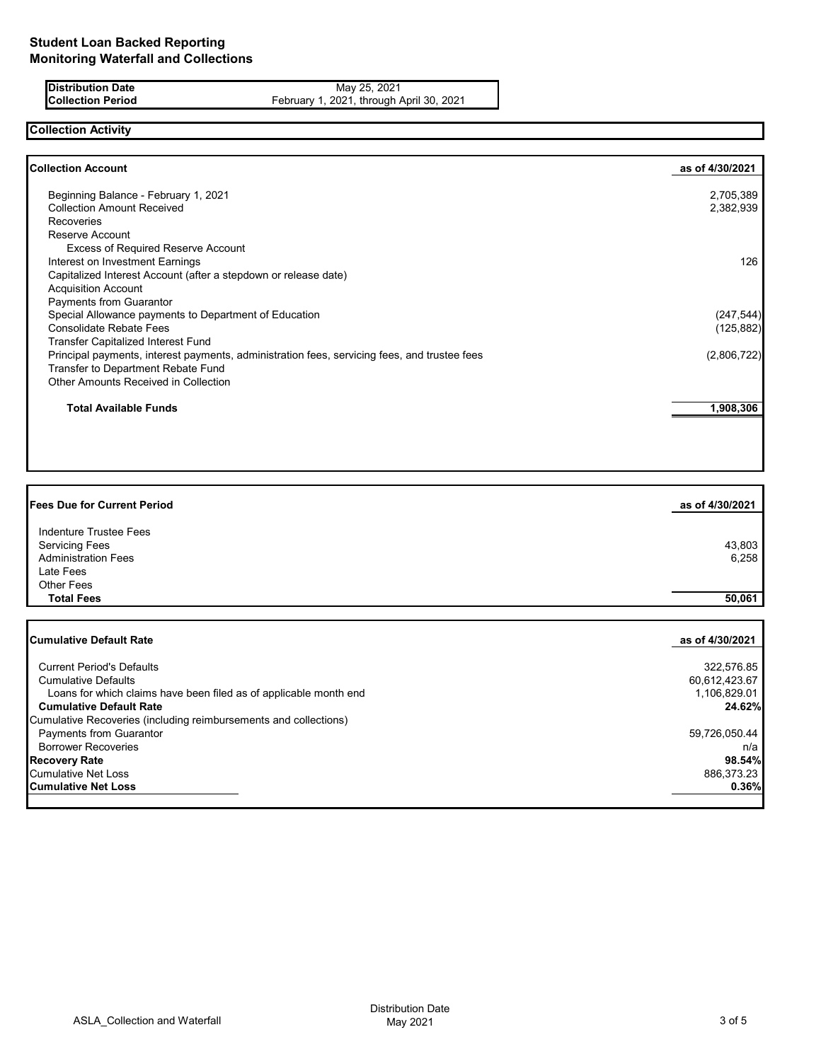**Distribution Date** May 25, 2021<br>**Collection Period** February 1, 2021, through *F* **Collection Period** February 1, 2021, through April 30, 2021

# **Collection Activity**

| 2,705,389<br>2,382,939<br>126 |
|-------------------------------|
|                               |
|                               |
|                               |
|                               |
|                               |
|                               |
|                               |
|                               |
|                               |
| (247, 544)                    |
| (125, 882)                    |
|                               |
| (2,806,722)                   |
|                               |
|                               |
| 1,908,306                     |
|                               |

| <b>Fees Due for Current Period</b>                                | as of 4/30/2021 |
|-------------------------------------------------------------------|-----------------|
| Indenture Trustee Fees                                            |                 |
| <b>Servicing Fees</b>                                             | 43,803          |
| <b>Administration Fees</b>                                        | 6,258           |
| Late Fees                                                         |                 |
| <b>Other Fees</b>                                                 |                 |
| <b>Total Fees</b>                                                 | 50,061          |
| <b>Cumulative Default Rate</b>                                    | as of 4/30/2021 |
| <b>Current Period's Defaults</b>                                  | 322,576.85      |
| <b>Cumulative Defaults</b>                                        | 60,612,423.67   |
| Loans for which claims have been filed as of applicable month end | 1,106,829.01    |
| <b>Cumulative Default Rate</b>                                    | 24.62%          |
| Cumulative Recoveries (including reimbursements and collections)  |                 |
| Payments from Guarantor                                           | 59,726,050.44   |
| <b>Borrower Recoveries</b>                                        | n/a             |
| <b>Recovery Rate</b>                                              | 98.54%          |

Cumulative Net Loss 886,373.23<br> **Cumulative Net Loss 886,373.23**<br> **Cumulative Net Loss** 886,373.23 **Cumulative Net Loss**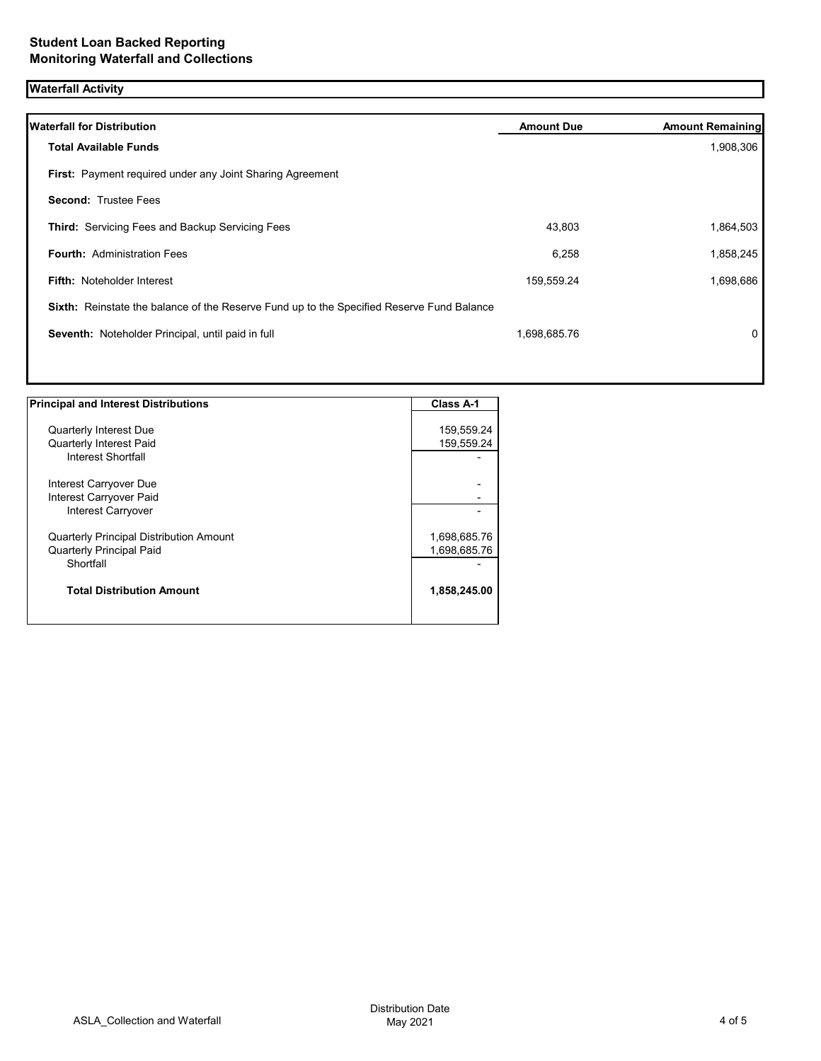# **Waterfall Activity**

| <b>Waterfall for Distribution</b>                                                         | <b>Amount Due</b> | <b>Amount Remaining</b> |
|-------------------------------------------------------------------------------------------|-------------------|-------------------------|
| <b>Total Available Funds</b>                                                              |                   | 1,908,306               |
| First: Payment required under any Joint Sharing Agreement                                 |                   |                         |
| <b>Second: Trustee Fees</b>                                                               |                   |                         |
| Third: Servicing Fees and Backup Servicing Fees                                           | 43,803            | 1,864,503               |
| <b>Fourth: Administration Fees</b>                                                        | 6,258             | 1,858,245               |
| <b>Fifth: Noteholder Interest</b>                                                         | 159,559.24        | 1,698,686               |
| Sixth: Reinstate the balance of the Reserve Fund up to the Specified Reserve Fund Balance |                   |                         |
| Seventh: Noteholder Principal, until paid in full                                         | 1,698,685.76      | $\mathbf{0}$            |
|                                                                                           |                   |                         |
|                                                                                           |                   |                         |

| <b>Principal and Interest Distributions</b>    | <b>Class A-1</b> |
|------------------------------------------------|------------------|
|                                                |                  |
| <b>Quarterly Interest Due</b>                  | 159,559.24       |
| <b>Quarterly Interest Paid</b>                 | 159,559.24       |
| Interest Shortfall                             |                  |
| Interest Carryover Due                         |                  |
| Interest Carryover Paid                        |                  |
| Interest Carryover                             |                  |
| <b>Quarterly Principal Distribution Amount</b> | 1,698,685.76     |
| <b>Quarterly Principal Paid</b>                | 1,698,685.76     |
| Shortfall                                      |                  |
| <b>Total Distribution Amount</b>               | 1,858,245.00     |
|                                                |                  |

1